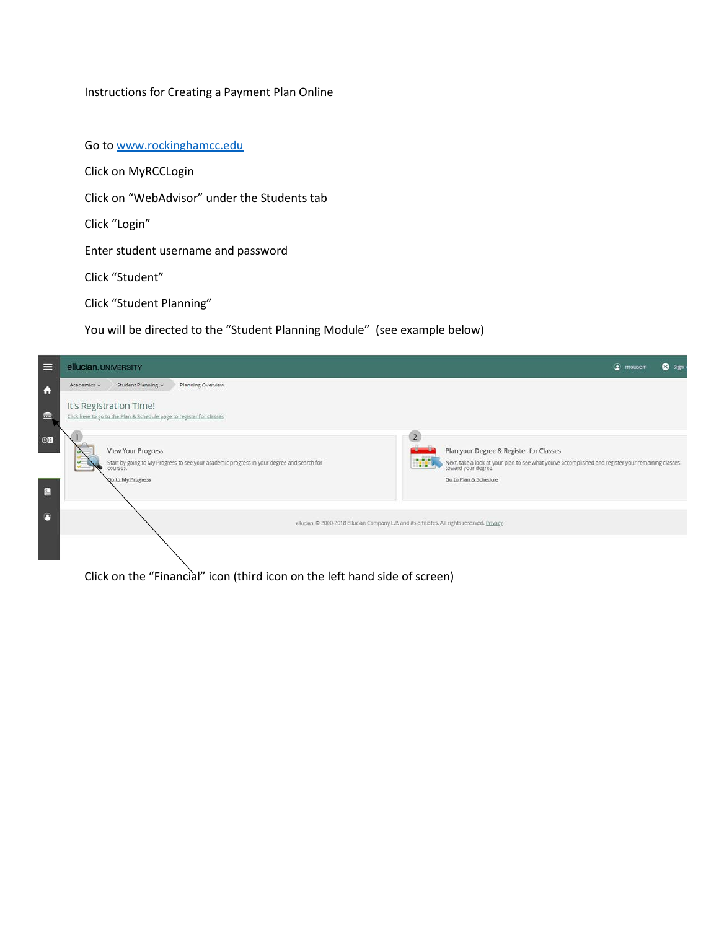## Instructions for Creating a Payment Plan Online

Go to [www.rockinghamcc.edu](http://www.rockinghamcc.edu/)

Click on MyRCCLogin

Click on "WebAdvisor" under the Students tab

Click "Login"

Enter student username and password

Click "Student"

Click "Student Planning"

You will be directed to the "Student Planning Module" (see example below)



Click on the "Financial" icon (third icon on the left hand side of screen)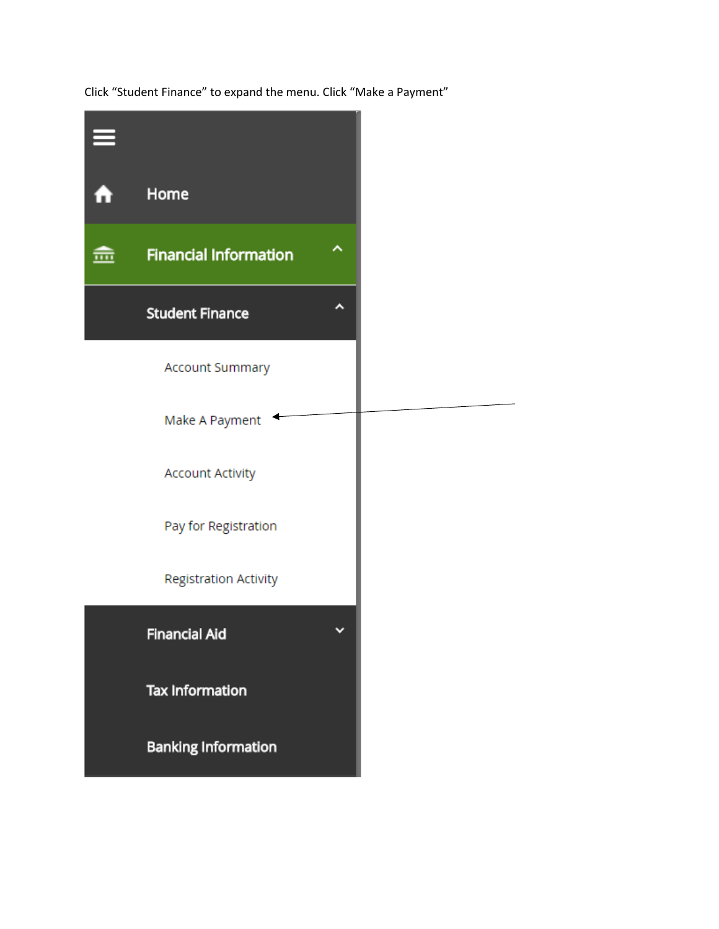Click "Student Finance" to expand the menu. Click "Make a Payment"

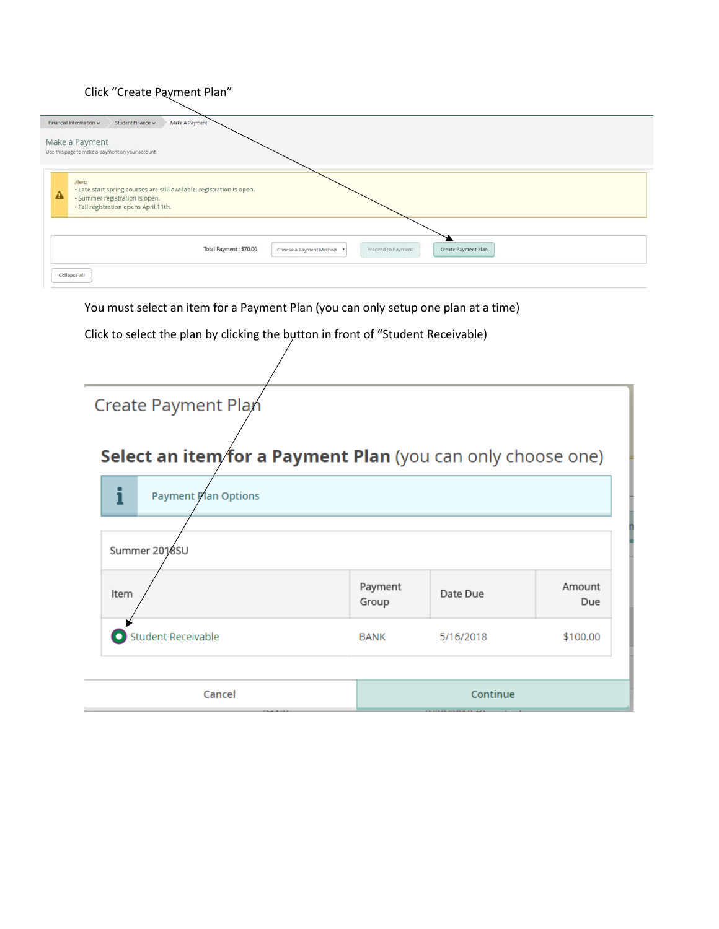## Click "Create Payment Plan"

| Financial Information v<br>Make A Payment<br>Student Finance                                                                                                                      |
|-----------------------------------------------------------------------------------------------------------------------------------------------------------------------------------|
| Make a Payment<br>Use this page to make a payment on your account                                                                                                                 |
| Alert:<br>. Late start spring courses are still available, registration is open.<br>$\mathbf{\Lambda}$<br>· Summer registration is open.<br>· Fall registration opens April 11th. |
| Proceed to Payment<br>Total Payment: \$70.00<br>Create Payment Plan<br>Choose a Payment Method .                                                                                  |
| Collapse All                                                                                                                                                                      |

You must select an item for a Payment Plan (you can only setup one plan at a time)

Click to select the plan by clicking the bytton in front of "Student Receivable)

| Create Payment Plan                                         |                  |           |               |  |
|-------------------------------------------------------------|------------------|-----------|---------------|--|
|                                                             |                  |           |               |  |
| Select an item/for a Payment Plan (you can only choose one) |                  |           |               |  |
| <b>Payment Plan Options</b>                                 |                  |           |               |  |
| Summer 2018SU                                               |                  |           |               |  |
| Item                                                        | Payment<br>Group | Date Due  | Amount<br>Due |  |
| Student Receivable                                          | <b>BANK</b>      | 5/16/2018 | \$100.00      |  |
| Cancel                                                      |                  | Continue  |               |  |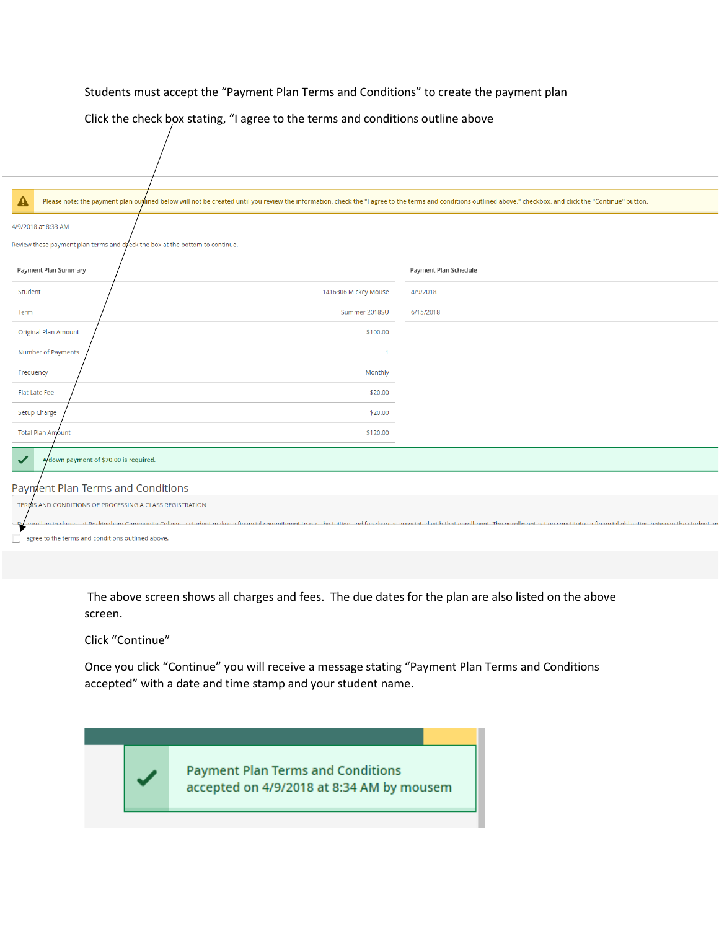## Students must accept the "Payment Plan Terms and Conditions" to create the payment plan

Click the check box stating, "I agree to the terms and conditions outline above

| ▲<br>Please note: the payment plan outlined below will not be created until you review the information, check the "I agree to the terms and conditions outlined above." checkbox, and click the "Continue" button.                                                                                 |                       |
|----------------------------------------------------------------------------------------------------------------------------------------------------------------------------------------------------------------------------------------------------------------------------------------------------|-----------------------|
| 4/9/2018 at 8:33 AM<br>Review these payment plan terms and check the box at the bottom to continue.                                                                                                                                                                                                |                       |
| Payment Plan Summary                                                                                                                                                                                                                                                                               | Payment Plan Schedule |
| 1416306 Mickey Mouse<br>Student                                                                                                                                                                                                                                                                    | 4/9/2018              |
| Summer 2018SU<br>Term                                                                                                                                                                                                                                                                              | 6/15/2018             |
| <b>Original Plan Amount</b><br>\$100.00                                                                                                                                                                                                                                                            |                       |
| Number of Payments                                                                                                                                                                                                                                                                                 |                       |
| Monthly<br>Frequency                                                                                                                                                                                                                                                                               |                       |
| Flat Late Fee<br>\$20.00                                                                                                                                                                                                                                                                           |                       |
| Setup Charge<br>\$20.00                                                                                                                                                                                                                                                                            |                       |
| <b>Total Plan Amount</b><br>\$120.00                                                                                                                                                                                                                                                               |                       |
| A/down payment of \$70.00 is required.<br>$\blacktriangledown$                                                                                                                                                                                                                                     |                       |
| Payment Plan Terms and Conditions                                                                                                                                                                                                                                                                  |                       |
| TERMS AND CONDITIONS OF PROCESSING A CLASS REGISTRATION<br>oprolling in classes at Deckingham Community College a student makes a financial commitment to aquithen and for charges accorated with that oprollment. The engliment action constitutor a financial obligation botwoon the st<br>$P_2$ |                       |
| I agree to the terms and conditions outlined above.                                                                                                                                                                                                                                                |                       |
|                                                                                                                                                                                                                                                                                                    |                       |

The above screen shows all charges and fees. The due dates for the plan are also listed on the above screen.

Click "Continue"

Once you click "Continue" you will receive a message stating "Payment Plan Terms and Conditions accepted" with a date and time stamp and your student name.